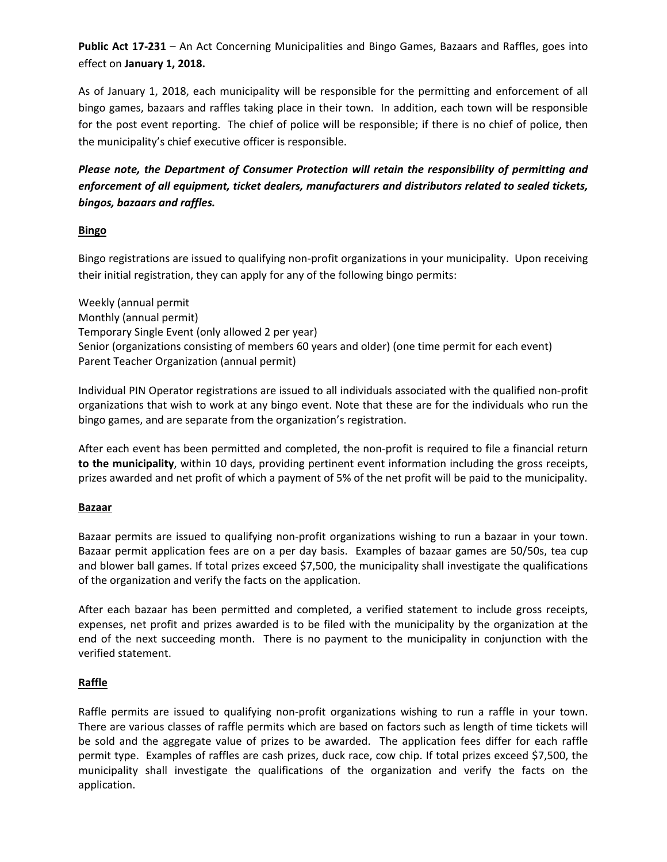**Public Act 17‐231** – An Act Concerning Municipalities and Bingo Games, Bazaars and Raffles, goes into effect on **January 1, 2018.**

As of January 1, 2018, each municipality will be responsible for the permitting and enforcement of all bingo games, bazaars and raffles taking place in their town. In addition, each town will be responsible for the post event reporting. The chief of police will be responsible; if there is no chief of police, then the municipality's chief executive officer is responsible.

## *Please note, the Department of Consumer Protection will retain the responsibility of permitting and enforcement of all equipment, ticket dealers, manufacturers and distributors related to sealed tickets, bingos, bazaars and raffles.*

## **Bingo**

Bingo registrations are issued to qualifying non‐profit organizations in your municipality. Upon receiving their initial registration, they can apply for any of the following bingo permits:

Weekly (annual permit Monthly (annual permit) Temporary Single Event (only allowed 2 per year) Senior (organizations consisting of members 60 years and older) (one time permit for each event) Parent Teacher Organization (annual permit)

Individual PIN Operator registrations are issued to all individuals associated with the qualified non‐profit organizations that wish to work at any bingo event. Note that these are for the individuals who run the bingo games, and are separate from the organization's registration.

After each event has been permitted and completed, the non‐profit is required to file a financial return **to the municipality**, within 10 days, providing pertinent event information including the gross receipts, prizes awarded and net profit of which a payment of 5% of the net profit will be paid to the municipality.

#### **Bazaar**

Bazaar permits are issued to qualifying non-profit organizations wishing to run a bazaar in your town. Bazaar permit application fees are on a per day basis. Examples of bazaar games are 50/50s, tea cup and blower ball games. If total prizes exceed \$7,500, the municipality shall investigate the qualifications of the organization and verify the facts on the application.

After each bazaar has been permitted and completed, a verified statement to include gross receipts, expenses, net profit and prizes awarded is to be filed with the municipality by the organization at the end of the next succeeding month. There is no payment to the municipality in conjunction with the verified statement.

## **Raffle**

Raffle permits are issued to qualifying non-profit organizations wishing to run a raffle in your town. There are various classes of raffle permits which are based on factors such as length of time tickets will be sold and the aggregate value of prizes to be awarded. The application fees differ for each raffle permit type. Examples of raffles are cash prizes, duck race, cow chip. If total prizes exceed \$7,500, the municipality shall investigate the qualifications of the organization and verify the facts on the application.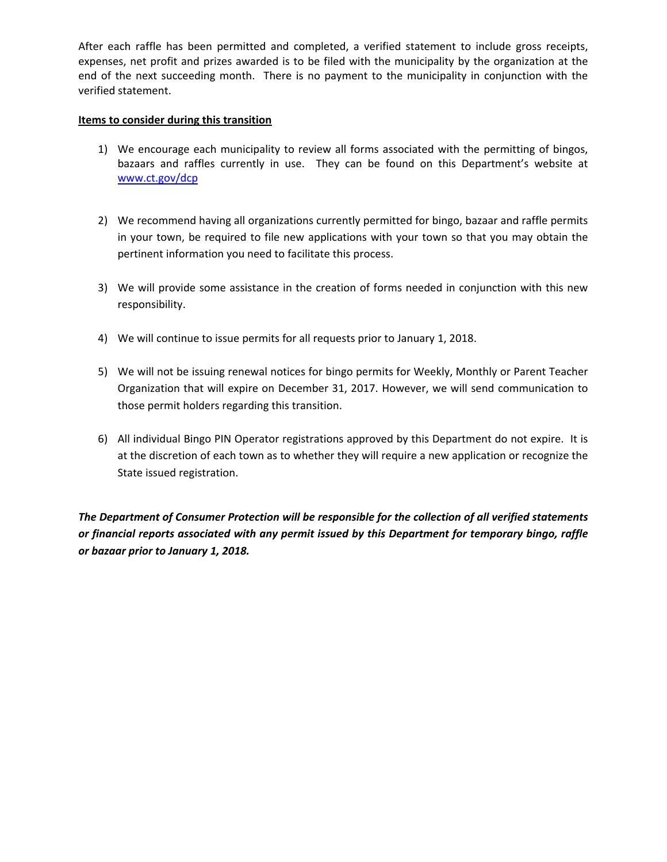After each raffle has been permitted and completed, a verified statement to include gross receipts, expenses, net profit and prizes awarded is to be filed with the municipality by the organization at the end of the next succeeding month. There is no payment to the municipality in conjunction with the verified statement.

#### **Items to consider during this transition**

- 1) We encourage each municipality to review all forms associated with the permitting of bingos, bazaars and raffles currently in use. They can be found on this Department's website at www.ct.gov/dcp
- 2) We recommend having all organizations currently permitted for bingo, bazaar and raffle permits in your town, be required to file new applications with your town so that you may obtain the pertinent information you need to facilitate this process.
- 3) We will provide some assistance in the creation of forms needed in conjunction with this new responsibility.
- 4) We will continue to issue permits for all requests prior to January 1, 2018.
- 5) We will not be issuing renewal notices for bingo permits for Weekly, Monthly or Parent Teacher Organization that will expire on December 31, 2017. However, we will send communication to those permit holders regarding this transition.
- 6) All individual Bingo PIN Operator registrations approved by this Department do not expire. It is at the discretion of each town as to whether they will require a new application or recognize the State issued registration.

*The Department of Consumer Protection will be responsible for the collection of all verified statements or financial reports associated with any permit issued by this Department for temporary bingo, raffle or bazaar prior to January 1, 2018.*